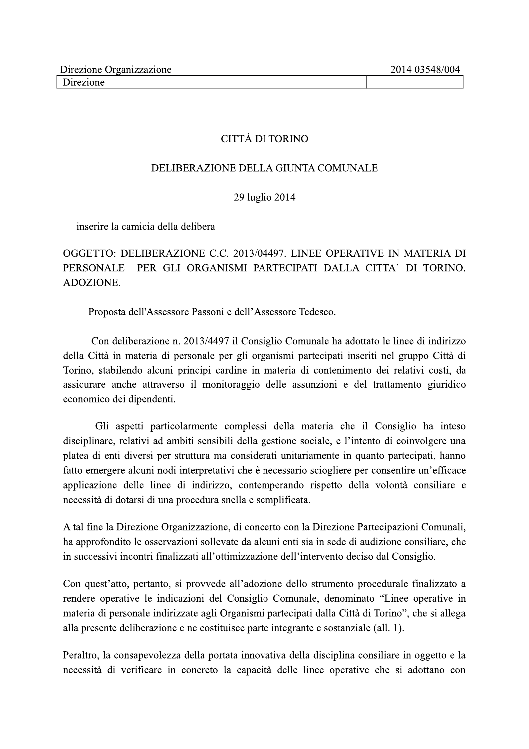### CITTÀ DI TORINO

#### DELIBERAZIONE DELLA GIUNTA COMUNALE

#### 29 luglio 2014

inserire la camicia della delibera

OGGETTO: DELIBERAZIONE C.C. 2013/04497, LINEE OPERATIVE IN MATERIA DI **PERSONALE** PER GLI ORGANISMI PARTECIPATI DALLA CITTA' DI TORINO. ADOZIONE.

Proposta dell'Assessore Passoni e dell'Assessore Tedesco.

Con deliberazione n. 2013/4497 il Consiglio Comunale ha adottato le linee di indirizzo della Città in materia di personale per gli organismi partecipati inseriti nel gruppo Città di Torino, stabilendo alcuni principi cardine in materia di contenimento dei relativi costi, da assicurare anche attraverso il monitoraggio delle assunzioni e del trattamento giuridico economico dei dipendenti.

Gli aspetti particolarmente complessi della materia che il Consiglio ha inteso disciplinare, relativi ad ambiti sensibili della gestione sociale, e l'intento di coinvolgere una platea di enti diversi per struttura ma considerati unitariamente in quanto partecipati, hanno fatto emergere alcuni nodi interpretativi che è necessario sciogliere per consentire un'efficace applicazione delle linee di indirizzo, contemperando rispetto della volontà consiliare e necessità di dotarsi di una procedura snella e semplificata.

A tal fine la Direzione Organizzazione, di concerto con la Direzione Partecipazioni Comunali, ha approfondito le osservazioni sollevate da alcuni enti sia in sede di audizione consiliare, che in successivi incontri finalizzati all'ottimizzazione dell'intervento deciso dal Consiglio.

Con quest'atto, pertanto, si provvede all'adozione dello strumento procedurale finalizzato a rendere operative le indicazioni del Consiglio Comunale, denominato "Linee operative in materia di personale indirizzate agli Organismi partecipati dalla Città di Torino", che si allega alla presente deliberazione e ne costituisce parte integrante e sostanziale (all. 1).

Peraltro, la consapevolezza della portata innovativa della disciplina consiliare in oggetto e la necessità di verificare in concreto la capacità delle linee operative che si adottano con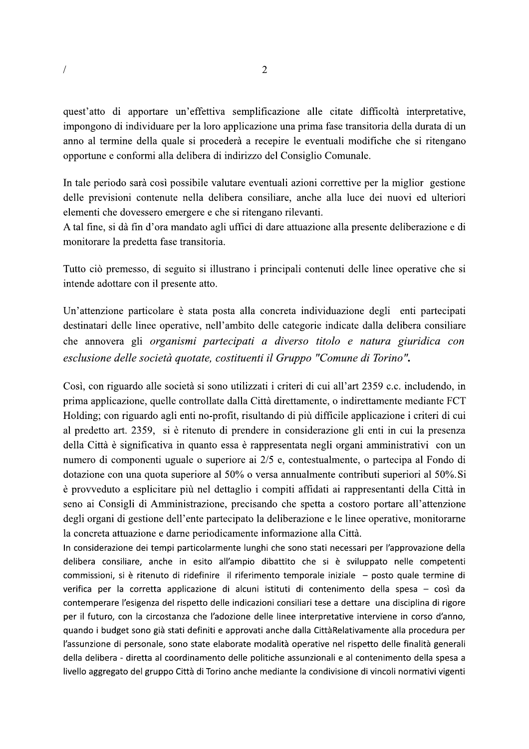quest'atto di apportare un'effettiva semplificazione alle citate difficoltà interpretative, impongono di individuare per la loro applicazione una prima fase transitoria della durata di un anno al termine della quale si procederà a recepire le eventuali modifiche che si ritengano opportune e conformi alla delibera di indirizzo del Consiglio Comunale.

 $\overline{2}$ 

In tale periodo sarà così possibile valutare eventuali azioni correttive per la miglior gestione delle previsioni contenute nella delibera consiliare, anche alla luce dei nuovi ed ulteriori elementi che dovessero emergere e che si ritengano rilevanti.

A tal fine, si dà fin d'ora mandato agli uffici di dare attuazione alla presente deliberazione e di monitorare la predetta fase transitoria.

Tutto ciò premesso, di seguito si illustrano i principali contenuti delle linee operative che si intende adottare con il presente atto.

Un'attenzione particolare è stata posta alla concreta individuazione degli enti partecipati destinatari delle linee operative, nell'ambito delle categorie indicate dalla delibera consiliare che annovera gli organismi partecipati a diverso titolo e natura giuridica con esclusione delle società quotate, costituenti il Gruppo "Comune di Torino".

Così, con riguardo alle società si sono utilizzati i criteri di cui all'art 2359 c.c. includendo, in prima applicazione, quelle controllate dalla Città direttamente, o indirettamente mediante FCT Holding; con riguardo agli enti no-profit, risultando di più difficile applicazione i criteri di cui al predetto art. 2359, si è ritenuto di prendere in considerazione gli enti in cui la presenza della Città è significativa in quanto essa è rappresentata negli organi amministrativi con un numero di componenti uguale o superiore ai 2/5 e, contestualmente, o partecipa al Fondo di dotazione con una quota superiore al 50% o versa annualmente contributi superiori al 50%. Si è provveduto a esplicitare più nel dettaglio i compiti affidati ai rappresentanti della Città in seno ai Consigli di Amministrazione, precisando che spetta a costoro portare all'attenzione degli organi di gestione dell'ente partecipato la deliberazione e le linee operative, monitorarne la concreta attuazione e darne periodicamente informazione alla Città.

In considerazione dei tempi particolarmente lunghi che sono stati necessari per l'approvazione della delibera consiliare, anche in esito all'ampio dibattito che si è sviluppato nelle competenti commissioni, si è ritenuto di ridefinire il riferimento temporale iniziale - posto quale termine di verifica per la corretta applicazione di alcuni istituti di contenimento della spesa - così da contemperare l'esigenza del rispetto delle indicazioni consiliari tese a dettare una disciplina di rigore per il futuro, con la circostanza che l'adozione delle linee interpretative interviene in corso d'anno, quando i budget sono già stati definiti e approvati anche dalla CittàRelativamente alla procedura per l'assunzione di personale, sono state elaborate modalità operative nel rispetto delle finalità generali della delibera - diretta al coordinamento delle politiche assunzionali e al contenimento della spesa a livello aggregato del gruppo Città di Torino anche mediante la condivisione di vincoli normativi vigenti

 $\overline{1}$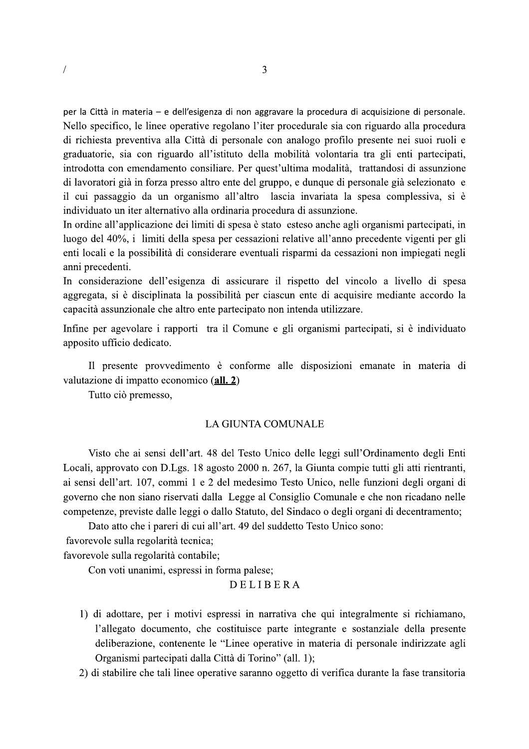per la Città in materia - e dell'esigenza di non aggravare la procedura di acquisizione di personale. Nello specifico, le linee operative regolano l'iter procedurale sia con riguardo alla procedura di richiesta preventiva alla Città di personale con analogo profilo presente nei suoi ruoli e graduatorie, sia con riguardo all'istituto della mobilità volontaria tra gli enti partecipati, introdotta con emendamento consiliare. Per quest'ultima modalità, trattandosi di assunzione di lavoratori già in forza presso altro ente del gruppo, e dunque di personale già selezionato e il cui passaggio da un organismo all'altro lascia invariata la spesa complessiva, si è individuato un iter alternativo alla ordinaria procedura di assunzione.

In ordine all'applicazione dei limiti di spesa è stato esteso anche agli organismi partecipati, in luogo del 40%, i limiti della spesa per cessazioni relative all'anno precedente vigenti per gli enti locali e la possibilità di considerare eventuali risparmi da cessazioni non impiegati negli anni precedenti.

In considerazione dell'esigenza di assicurare il rispetto del vincolo a livello di spesa aggregata, si è disciplinata la possibilità per ciascun ente di acquisire mediante accordo la capacità assunzionale che altro ente partecipato non intenda utilizzare.

Infine per agevolare i rapporti tra il Comune e gli organismi partecipati, si è individuato apposito ufficio dedicato.

Il presente provvedimento è conforme alle disposizioni emanate in materia di valutazione di impatto economico (all. 2)

Tutto ciò premesso,

 $\sqrt{ }$ 

#### **LA GIUNTA COMUNALE**

Visto che ai sensi dell'art. 48 del Testo Unico delle leggi sull'Ordinamento degli Enti Locali, approvato con D.Lgs. 18 agosto 2000 n. 267, la Giunta compie tutti gli atti rientranti, ai sensi dell'art. 107, commi 1 e 2 del medesimo Testo Unico, nelle funzioni degli organi di governo che non siano riservati dalla Legge al Consiglio Comunale e che non ricadano nelle competenze, previste dalle leggi o dallo Statuto, del Sindaco o degli organi di decentramento;

Dato atto che i pareri di cui all'art. 49 del suddetto Testo Unico sono:

favorevole sulla regolarità tecnica;

favorevole sulla regolarità contabile;

Con voti unanimi, espressi in forma palese;

#### DELIBERA

1) di adottare, per i motivi espressi in narrativa che qui integralmente si richiamano, l'allegato documento, che costituisce parte integrante e sostanziale della presente deliberazione, contenente le "Linee operative in materia di personale indirizzate agli Organismi partecipati dalla Città di Torino" (all. 1);

2) di stabilire che tali linee operative saranno oggetto di verifica durante la fase transitoria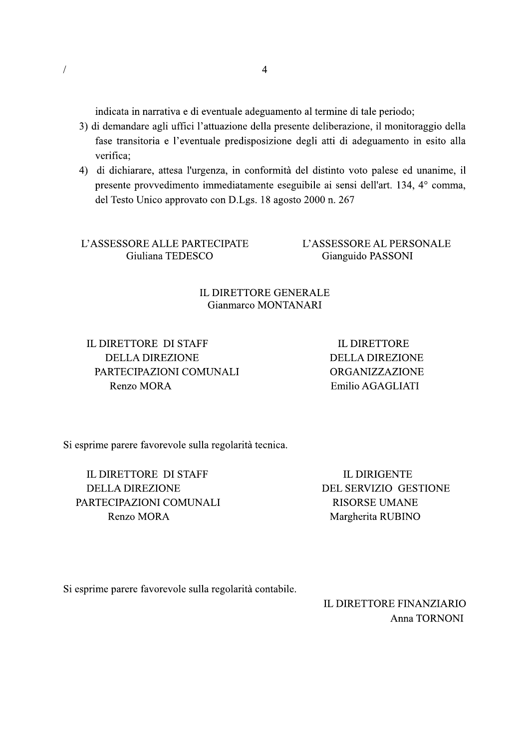indicata in narrativa e di eventuale adeguamento al termine di tale periodo;

- 3) di demandare agli uffici l'attuazione della presente deliberazione, il monitoraggio della fase transitoria e l'eventuale predisposizione degli atti di adeguamento in esito alla verifica:
- 4) di dichiarare, attesa l'urgenza, in conformità del distinto voto palese ed unanime, il presente provvedimento immediatamente eseguibile ai sensi dell'art. 134, 4° comma, del Testo Unico approvato con D.Lgs. 18 agosto 2000 n. 267

#### L'ASSESSORE ALLE PARTECIPATE Giuliana TEDESCO

 $\overline{1}$ 

L'ASSESSORE AL PERSONALE Gianguido PASSONI

#### **IL DIRETTORE GENERALE** Gianmarco MONTANARI

### **IL DIRETTORE DI STAFF DELLA DIREZIONE** PARTECIPAZIONI COMUNALI Renzo MORA

**IL DIRETTORE DELLA DIREZIONE ORGANIZZAZIONE** Emilio AGAGLIATI

Si esprime parere favorevole sulla regolarità tecnica.

**IL DIRETTORE DI STAFF DELLA DIREZIONE** PARTECIPAZIONI COMUNALI Renzo MORA

**IL DIRIGENTE** DEL SERVIZIO GESTIONE **RISORSE UMANE** Margherita RUBINO

Si esprime parere favorevole sulla regolarità contabile.

IL DIRETTORE FINANZIARIO Anna TORNONI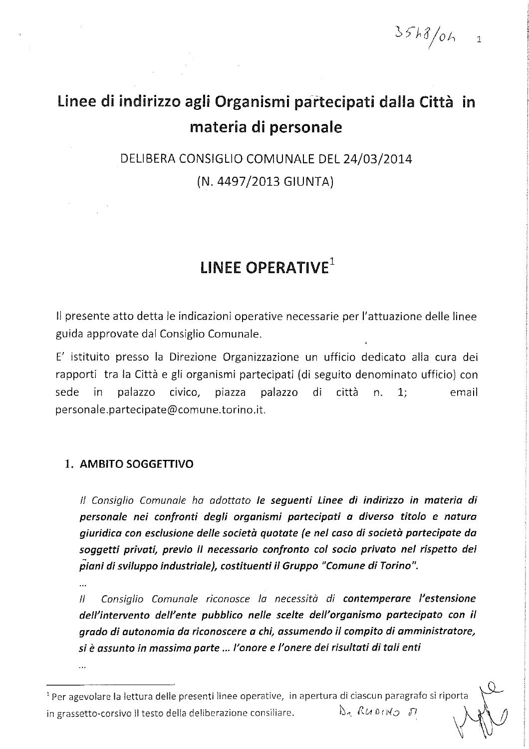$35h8/04$ 

# Linee di indirizzo agli Organismi partecipati dalla Città in materia di personale

DELIBERA CONSIGLIO COMUNALE DEL 24/03/2014 (N. 4497/2013 GIUNTA)

## LINEE OPERATIVE $1$

Il presente atto detta le indicazioni operative necessarie per l'attuazione delle linee guida approvate dal Consiglio Comunale.

E' istituito presso la Direzione Organizzazione un ufficio dedicato alla cura dei rapporti tra la Città e gli organismi partecipati (di seguito denominato ufficio) con sede in palazzo civico, piazza palazzo di città  $1:$  $n_{\cdot}$ email personale.partecipate@comune.torino.it.

### 1. AMBITO SOGGETTIVO

Il Consiglio Comunale ha adottato le seguenti Linee di indirizzo in materia di personale nei confronti degli organismi partecipati a diverso titolo e natura giuridica con esclusione delle società quotate (e nel caso di società partecipate da soggetti privati, previo il necessario confronto col socio privato nel rispetto dei piani di sviluppo industriale), costituenti il Gruppo "Comune di Torino".

 $\ddotsc$ 

Consiglio Comunale riconosce la necessità di contemperare l'estensione  $\mathcal{H}$ dell'intervento dell'ente pubblico nelle scelte dell'organismo partecipato con il grado di autonomia da riconoscere a chi, assumendo il compito di amministratore, si è assunto in massima parte ... l'onore e l'onere dei risultati di tali enti

 $\ddotsc$ 

<sup>&</sup>lt;sup>1</sup> Per agevolare la lettura delle presenti linee operative, in apertura di ciascun paragrafo si riporta Da RUDINO M in grassetto-corsivo il testo della deliberazione consiliare.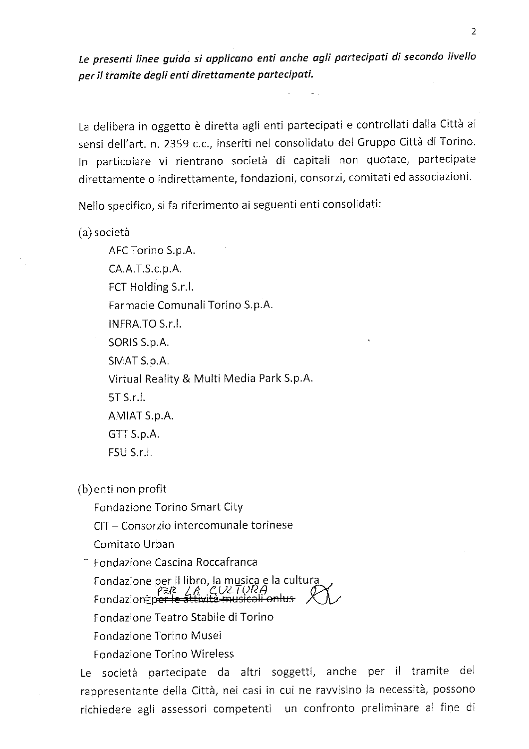Le presenti linee guida si applicano enti anche agli partecipati di secondo livello per il tramite degli enti direttamente partecipati.

La delibera in oggetto è diretta agli enti partecipati e controllati dalla Città ai sensi dell'art. n. 2359 c.c., inseriti nel consolidato del Gruppo Città di Torino. In particolare vi rientrano società di capitali non quotate, partecipate direttamente o indirettamente, fondazioni, consorzi, comitati ed associazioni.

Nello specifico, si fa riferimento ai seguenti enti consolidati:

(a) società

AFC Torino S.p.A. CA.A.T.S.c.p.A. FCT Holding S.r.l. Farmacie Comunali Torino S.p.A. INFRATO S.r.l. SORIS S.p.A. SMAT S.p.A. Virtual Reality & Multi Media Park S.p.A.  $5T$  S.r.l. AMIAT S.p.A. GTT S.p.A. FSU S.r.l.

(b) enti non profit

Fondazione Torino Smart City

CIT - Consorzio intercomunale torinese

Comitato Urban

" Fondazione Cascina Roccafranca

Fondazione per il libro, la musica e la cultura<br>  $\rho_{FR}$  / A (ULTURA<br>
Fondazion<del>i per le attività musicali onlus</del>

Fondazione Teatro Stabile di Torino

Fondazione Torino Musei

**Fondazione Torino Wireless** 

Le società partecipate da altri soggetti, anche per il tramite del rappresentante della Città, nei casi in cui ne ravvisino la necessità, possono richiedere agli assessori competenti un confronto preliminare al fine di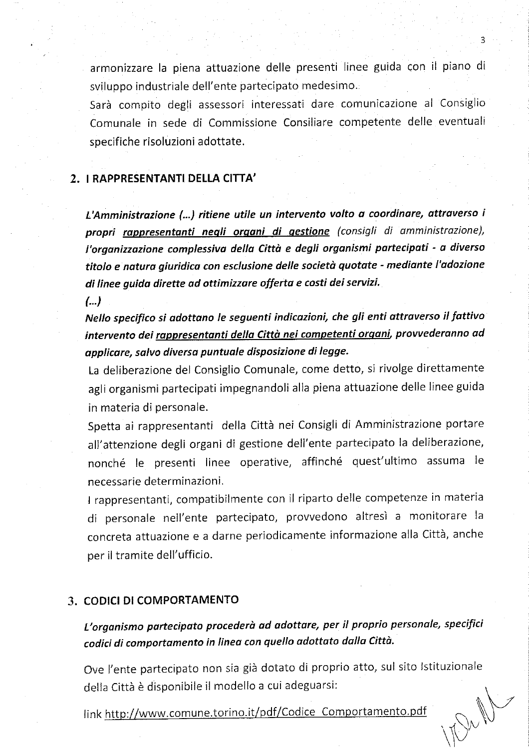armonizzare la piena attuazione delle presenti linee guida con il piano di sviluppo industriale dell'ente partecipato medesimo.

Sarà compito degli assessori interessati dare comunicazione al Consiglio Comunale in sede di Commissione Consiliare competente delle eventuali specifiche risoluzioni adottate.

### 2. I RAPPRESENTANTI DELLA CITTA'

L'Amministrazione (...) ritiene utile un intervento volto a coordinare, attraverso i propri rappresentanti negli organi di gestione (consigli di amministrazione), l'organizzazione complessiva della Città e degli organismi partecipati - a diverso titolo e natura giuridica con esclusione delle società quotate - mediante l'adozione di linee quida dirette ad ottimizzare offerta e costi dei servizi.

 $($ ... $)$ 

Nello specifico si adottano le seguenti indicazioni, che gli enti attraverso il fattivo intervento dei rappresentanti della Città nei competenti organi, provvederanno ad applicare, salvo diversa puntuale disposizione di legge.

La deliberazione del Consiglio Comunale, come detto, si rivolge direttamente agli organismi partecipati impegnandoli alla piena attuazione delle linee guida in materia di personale.

Spetta ai rappresentanti della Città nei Consigli di Amministrazione portare all'attenzione degli organi di gestione dell'ente partecipato la deliberazione, nonché le presenti linee operative, affinché quest'ultimo assuma le necessarie determinazioni.

I rappresentanti, compatibilmente con il riparto delle competenze in materia di personale nell'ente partecipato, provvedono altresì a monitorare la concreta attuazione e a darne periodicamente informazione alla Città, anche per il tramite dell'ufficio.

#### 3. CODICI DI COMPORTAMENTO

L'organismo partecipato procederà ad adottare, per il proprio personale, specifici codici di comportamento in linea con quello adottato dalla Città.

Ove l'ente partecipato non sia già dotato di proprio atto, sul sito Istituzionale della Città è disponibile il modello a cui adeguarsi:

link http://www.comune.torino.it/pdf/Codice Comportamento.pdf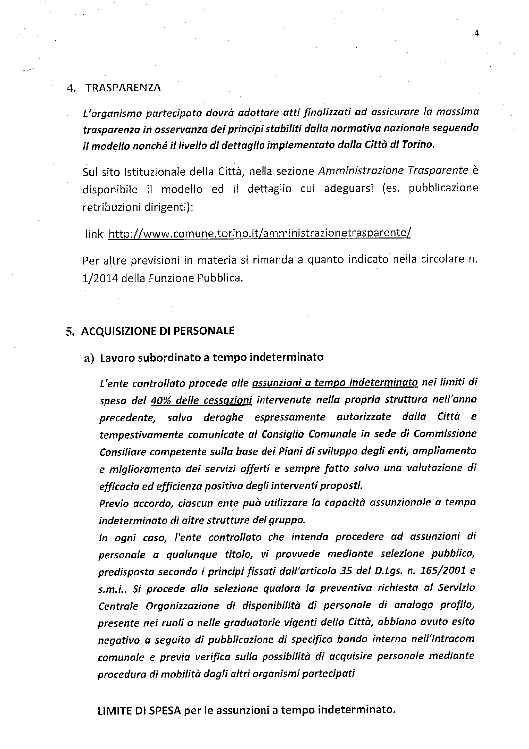### 4. TRASPARENZA

L'organismo partecipato dovrà adottare atti finalizzati ad assicurare la massima trasparenza in osservanza dei principi stabiliti dalla normativa nazionale seguendo il modello nonché il livello di dettaglio implementato dalla Città di Torino.

Sul sito Istituzionale della Città, nella sezione Amministrazione Trasparente è disponibile il modello ed il dettaglio cui adeguarsi (es. pubblicazione retribuzioni dirigenti):

link http://www.comune.torino.it/amministrazionetrasparente/

Per altre previsioni in materia si rimanda a quanto indicato nella circolare n. 1/2014 della Funzione Pubblica.

#### 5. ACQUISIZIONE DI PERSONALE

### a) Lavoro subordinato a tempo indeterminato

L'ente controllato procede alle assunzioni a tempo indeterminato nei limiti di spesa del 40% delle cessazioni intervenute nella propria struttura nell'anno precedente, salvo deroghe espressamente autorizzate dalla Città e tempestivamente comunicate al Consiglio Comunale in sede di Commissione Consiliare competente sulla base dei Piani di sviluppo degli enti, ampliamento e miglioramento dei servizi offerti e sempre fatto salvo una valutazione di efficacia ed efficienza positiva degli interventi proposti.

Previo accordo, ciascun ente può utilizzare la capacità assunzionale a tempo indeterminato di altre strutture del gruppo.

In ogni caso, l'ente controllato che intenda procedere ad assunzioni di personale a qualunque titolo, vi provvede mediante selezione pubblica, predisposta secondo i principi fissati dall'articolo 35 del D.Lgs. n. 165/2001 e s.m.i.. Si procede alla selezione qualora la preventiva richiesta al Servizio Centrale Organizzazione di disponibilità di personale di analogo profilo, presente nei ruoli o nelle graduatorie vigenti della Città, abbiano avuto esito negativo a seguito di pubblicazione di specifico bando interno nell'Intracom comunale e previa verifica sulla possibilità di acquisire personale mediante procedura di mobilità dagli altri organismi partecipati

LIMITE DI SPESA per le assunzioni a tempo indeterminato.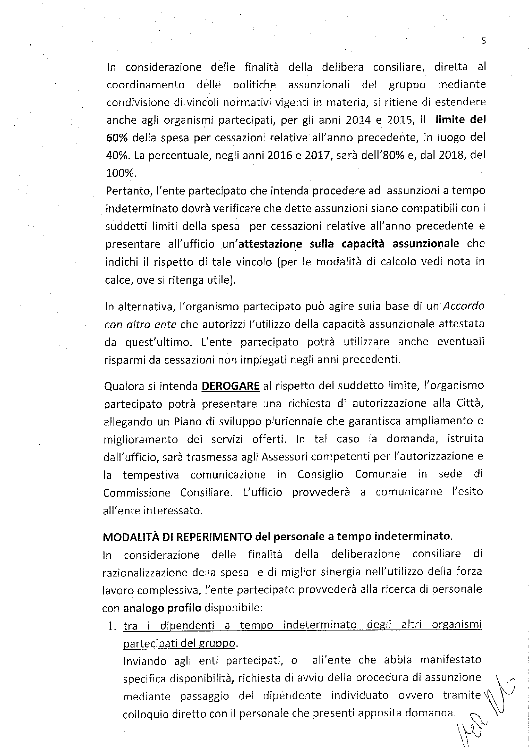In considerazione delle finalità della delibera consiliare, diretta al coordinamento delle politiche assunzionali del gruppo mediante condivisione di vincoli normativi vigenti in materia, si ritiene di estendere anche agli organismi partecipati, per gli anni 2014 e 2015, il limite del 60% della spesa per cessazioni relative all'anno precedente, in luogo del 40%. La percentuale, negli anni 2016 e 2017, sarà dell'80% e, dal 2018, del 100%.

Pertanto, l'ente partecipato che intenda procedere ad assunzioni a tempo indeterminato dovrà verificare che dette assunzioni siano compatibili con i suddetti limiti della spesa per cessazioni relative all'anno precedente e presentare all'ufficio un'attestazione sulla capacità assunzionale che indichi il rispetto di tale vincolo (per le modalità di calcolo vedi nota in calce, ove si ritenga utile).

In alternativa, l'organismo partecipato può agire sulla base di un Accordo con altro ente che autorizzi l'utilizzo della capacità assunzionale attestata da quest'ultimo. L'ente partecipato potrà utilizzare anche eventuali risparmi da cessazioni non impiegati negli anni precedenti.

Qualora si intenda **DEROGARE** al rispetto del suddetto limite, l'organismo partecipato potrà presentare una richiesta di autorizzazione alla Città, allegando un Piano di sviluppo pluriennale che garantisca ampliamento e miglioramento dei servizi offerti. In tal caso la domanda, istruita dall'ufficio, sarà trasmessa agli Assessori competenti per l'autorizzazione e la tempestiva comunicazione in Consiglio Comunale in sede di Commissione Consiliare. L'ufficio provvederà a comunicarne l'esito all'ente interessato.

#### MODALITÀ DI REPERIMENTO del personale a tempo indeterminato.

In considerazione delle finalità della deliberazione consiliare di razionalizzazione della spesa e di miglior sinergia nell'utilizzo della forza lavoro complessiva, l'ente partecipato provvederà alla ricerca di personale con analogo profilo disponibile:

1. tra i dipendenti a tempo indeterminato degli altri organismi partecipati del gruppo.

Inviando agli enti partecipati, o all'ente che abbia manifestato specifica disponibilità, richiesta di avvio della procedura di assunzione mediante passaggio del dipendente individuato ovvero tramite colloquio diretto con il personale che presenti apposita domanda.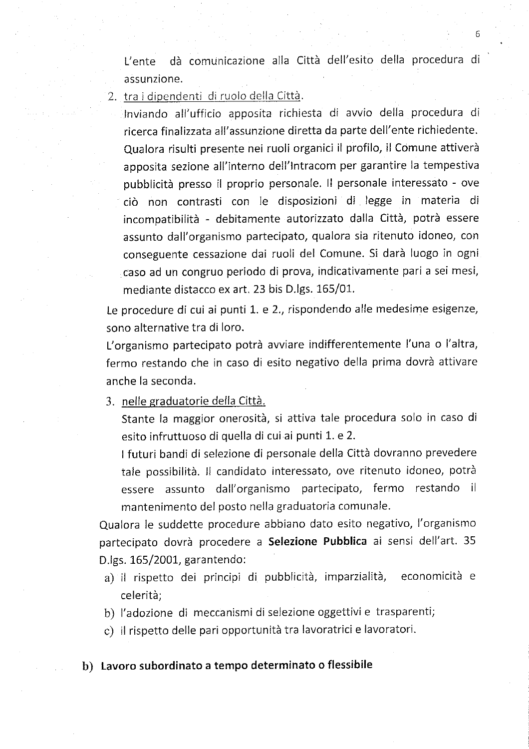dà comunicazione alla Città dell'esito della procedura di L'ente assunzione.

2. tra i dipendenti di ruolo della Città.

Inviando all'ufficio apposita richiesta di avvio della procedura di ricerca finalizzata all'assunzione diretta da parte dell'ente richiedente. Qualora risulti presente nei ruoli organici il profilo, il Comune attiverà apposita sezione all'interno dell'Intracom per garantire la tempestiva pubblicità presso il proprio personale. Il personale interessato - ove ciò non contrasti con le disposizioni di legge in materia di incompatibilità - debitamente autorizzato dalla Città, potrà essere assunto dall'organismo partecipato, qualora sia ritenuto idoneo, con conseguente cessazione dai ruoli del Comune. Si darà luogo in ogni. caso ad un congruo periodo di prova, indicativamente pari a sei mesi, mediante distacco ex art. 23 bis D.lgs. 165/01.

Le procedure di cui ai punti 1, e 2, rispondendo alle medesime esigenze, sono alternative tra di loro.

L'organismo partecipato potrà avviare indifferentemente l'una o l'altra, fermo restando che in caso di esito negativo della prima dovrà attivare anche la seconda.

3. nelle graduatorie della Città.

Stante la maggior onerosità, si attiva tale procedura solo in caso di esito infruttuoso di quella di cui ai punti 1. e 2.

I futuri bandi di selezione di personale della Città dovranno prevedere tale possibilità. Il candidato interessato, ove ritenuto idoneo, potrà essere assunto dall'organismo partecipato, fermo restando il mantenimento del posto nella graduatoria comunale.

Qualora le suddette procedure abbiano dato esito negativo, l'organismo partecipato dovrà procedere a Selezione Pubblica ai sensi dell'art. 35 D.lgs. 165/2001, garantendo:

- a) il rispetto dei principi di pubblicità, imparzialità, economicità e celerità;
- b) l'adozione di meccanismi di selezione oggettivi e trasparenti;
- c) il rispetto delle pari opportunità tra lavoratrici e lavoratori.

#### b) Lavoro subordinato a tempo determinato o flessibile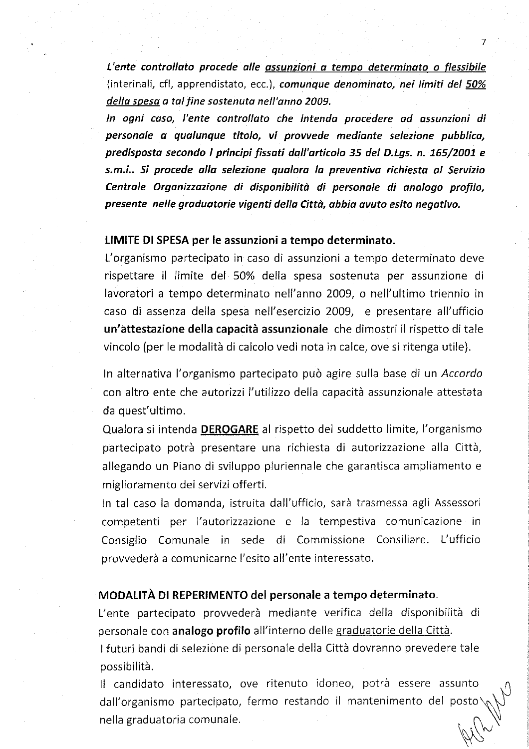L'ente controllato procede alle assunzioni a tempo determinato o flessibile (interinali, cfl, apprendistato, ecc.), comunque denominato, nei limiti del 50% della spesa a tal fine sostenuta nell'anno 2009.

In ogni caso, l'ente controllato che intenda procedere ad assunzioni di personale a qualunque titolo, vi provvede mediante selezione pubblica, predisposta secondo i principi fissati dall'articolo 35 del D.Las. n. 165/2001 e s.m.i.. Si procede alla selezione qualora la preventiva richiesta al Servizio Centrale Organizzazione di disponibilità di personale di analogo profilo, presente nelle graduatorie vigenti della Città, abbia avuto esito negativo.

#### LIMITE DI SPESA per le assunzioni a tempo determinato.

L'organismo partecipato in caso di assunzioni a tempo determinato deve rispettare il limite del 50% della spesa sostenuta per assunzione di lavoratori a tempo determinato nell'anno 2009, o nell'ultimo triennio in caso di assenza della spesa nell'esercizio 2009, e presentare all'ufficio un'attestazione della capacità assunzionale che dimostri il rispetto di tale vincolo (per le modalità di calcolo vedi nota in calce, ove si ritenga utile).

In alternativa l'organismo partecipato può agire sulla base di un Accordo con altro ente che autorizzi l'utilizzo della capacità assunzionale attestata da quest'ultimo.

Qualora si intenda **DEROGARE** al rispetto del suddetto limite, l'organismo partecipato potrà presentare una richiesta di autorizzazione alla Città, allegando un Piano di sviluppo pluriennale che garantisca ampliamento e miglioramento dei servizi offerti.

In tal caso la domanda, istruita dall'ufficio, sarà trasmessa agli Assessori competenti per l'autorizzazione e la tempestiva comunicazione in Consiglio Comunale in sede di Commissione Consiliare. L'ufficio provvederà a comunicarne l'esito all'ente interessato.

#### MODALITÀ DI REPERIMENTO del personale a tempo determinato.

L'ente partecipato provvederà mediante verifica della disponibilità di personale con analogo profilo all'interno delle graduatorie della Città.

I futuri bandi di selezione di personale della Città dovranno prevedere tale possibilità.

Il candidato interessato, ove ritenuto idoneo, potrà essere assunto dall'organismo partecipato, fermo restando il mantenimento del posto nella graduatoria comunale.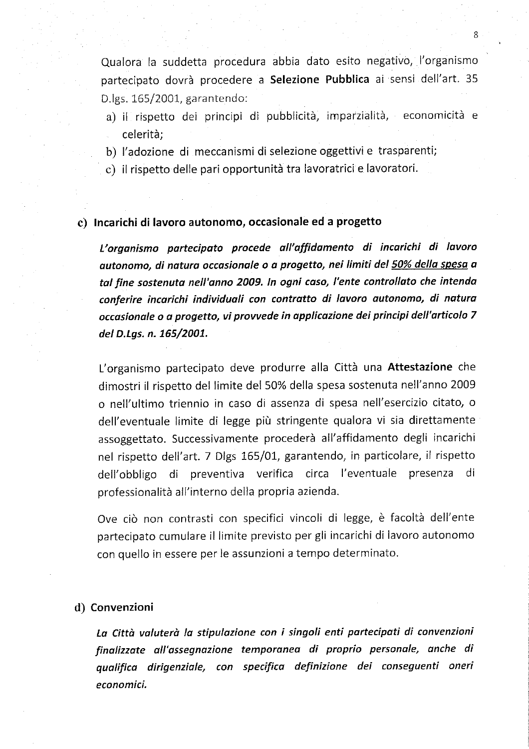Qualora la suddetta procedura abbia dato esito negativo, l'organismo partecipato dovrà procedere a Selezione Pubblica ai sensi dell'art. 35 D.lgs. 165/2001, garantendo:

- a) il rispetto dei principi di pubblicità, imparzialità, economicità e celerità:
- b) l'adozione di meccanismi di selezione oggettivi e trasparenti;
- c) il rispetto delle pari opportunità tra lavoratrici e lavoratori.

#### c) Incarichi di lavoro autonomo, occasionale ed a progetto

L'organismo partecipato procede all'affidamento di incarichi di lavoro autonomo, di natura occasionale o a progetto, nei limiti del 50% della spesa a tal fine sostenuta nell'anno 2009. In ogni caso, l'ente controllato che intenda conferire incarichi individuali con contratto di lavoro autonomo, di natura occasionale o a progetto, vi provvede in applicazione dei principi dell'articolo 7 del D.Las. n. 165/2001.

L'organismo partecipato deve produrre alla Città una Attestazione che dimostri il rispetto del limite del 50% della spesa sostenuta nell'anno 2009 o nell'ultimo triennio in caso di assenza di spesa nell'esercizio citato, o dell'eventuale limite di legge più stringente qualora vi sia direttamente assoggettato. Successivamente procederà all'affidamento degli incarichi nel rispetto dell'art. 7 Dlgs 165/01, garantendo, in particolare, il rispetto dell'obbligo di preventiva verifica circa l'eventuale presenza di professionalità all'interno della propria azienda.

Ove ciò non contrasti con specifici vincoli di legge, è facoltà dell'ente partecipato cumulare il limite previsto per gli incarichi di lavoro autonomo con quello in essere per le assunzioni a tempo determinato.

#### d) Convenzioni

La Città valuterà la stipulazione con i singoli enti partecipati di convenzioni finalizzate all'assegnazione temporanea di proprio personale, anche di aualifica diriaenziale, con specifica definizione dei conseguenti oneri economici.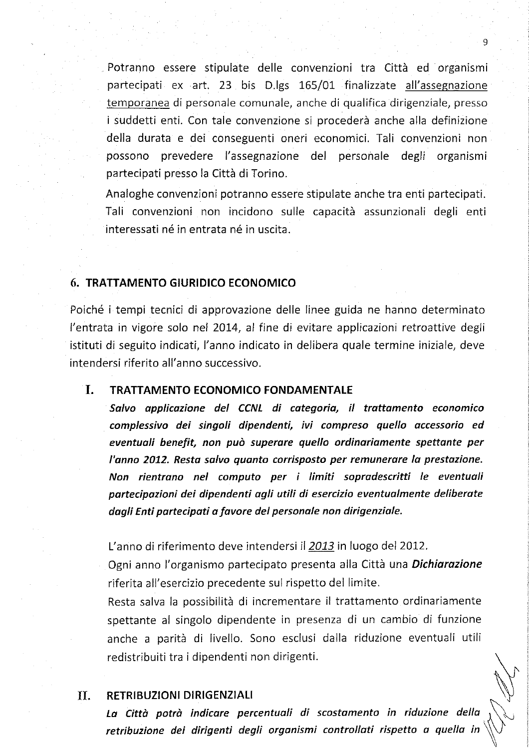Potranno essere stipulate delle convenzioni tra Città ed organismi partecipati ex art. 23 bis D.lgs 165/01 finalizzate all'assegnazione temporanea di personale comunale, anche di qualifica dirigenziale, presso i suddetti enti. Con tale convenzione si procederà anche alla definizione della durata e dei conseguenti oneri economici. Tali convenzioni non possono prevedere l'assegnazione del personale degli organismi partecipati presso la Città di Torino.

Analoghe convenzioni potranno essere stipulate anche tra enti partecipati. Tali convenzioni non incidono sulle capacità assunzionali degli enti interessati né in entrata né in uscita.

#### 6. TRATTAMENTO GIURIDICO ECONOMICO

Poiché i tempi tecnici di approvazione delle linee guida ne hanno determinato l'entrata in vigore solo nel 2014, al fine di evitare applicazioni retroattive degli istituti di seguito indicati, l'anno indicato in delibera quale termine iniziale, deve intendersi riferito all'anno successivo.

#### L. **TRATTAMENTO ECONOMICO FONDAMENTALE**

Salvo applicazione del CCNL di categoria, il trattamento economico complessivo dei singoli dipendenti, ivi compreso quello accessorio ed eventuali benefit, non può superare quello ordinariamente spettante per l'anno 2012. Resta salvo quanto corrisposto per remunerare la prestazione. Non rientrano nel computo per i limiti sopradescritti le eventuali partecipazioni dei dipendenti agli utili di esercizio eventualmente deliberate dagli Enti partecipati a favore del personale non dirigenziale.

L'anno di riferimento deve intendersi il 2013 in luogo del 2012.

Ogni anno l'organismo partecipato presenta alla Città una *Dichiarazione* riferita all'esercizio precedente sul rispetto del limite.

Resta salva la possibilità di incrementare il trattamento ordinariamente spettante al singolo dipendente in presenza di un cambio di funzione anche a parità di livello. Sono esclusi dalla riduzione eventuali utili redistribuiti tra i dipendenti non dirigenti.

#### II. RETRIBUZIONI DIRIGENZIALI

La Città potrà indicare percentuali di scostamento in riduzione della retribuzione dei dirigenti degli organismi controllati rispetto a quella in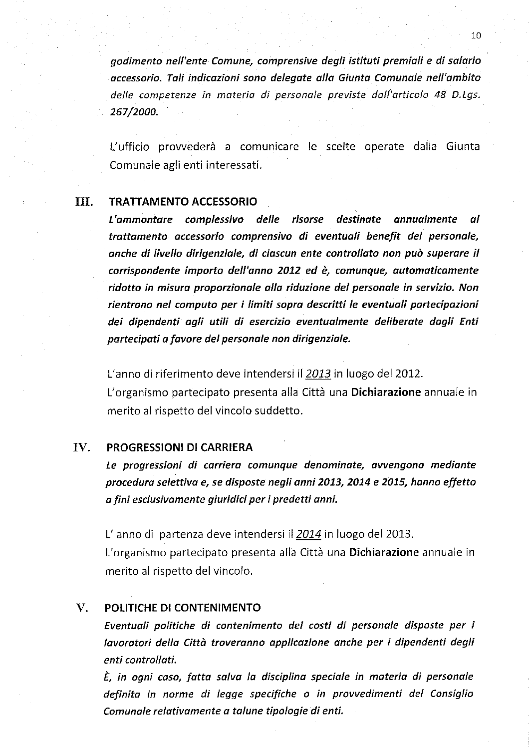godimento nell'ente Comune, comprensive degli istituti premiali e di salario accessorio. Tali indicazioni sono delegate alla Giunta Comunale nell'ambito delle competenze in materia di personale previste dall'articolo 48 D.Lqs. 267/2000.

L'ufficio provvederà a comunicare le scelte operate dalla Giunta Comunale agli enti interessati.

#### III. **TRATTAMENTO ACCESSORIO**

L'ammontare complessivo delle risorse destinate annualmente al trattamento accessorio comprensivo di eventuali benefit del personale, anche di livello dirigenziale, di ciascun ente controllato non può superare il corrispondente importo dell'anno 2012 ed è, comunque, automaticamente ridotto in misura proporzionale alla riduzione del personale in servizio. Non rientrano nel computo per i limiti sopra descritti le eventuali partecipazioni dei dipendenti agli utili di esercizio eventualmente deliberate dagli Enti partecipati a favore del personale non dirigenziale.

L'anno di riferimento deve intendersi il 2013 in luogo del 2012.

L'organismo partecipato presenta alla Città una Dichiarazione annuale in merito al rispetto del vincolo suddetto.

#### $IV.$ PROGRESSIONI DI CARRIERA

Le progressioni di carriera comunque denominate, avvengono mediante procedura selettiva e, se disposte negli anni 2013, 2014 e 2015, hanno effetto a fini esclusivamente giuridici per i predetti anni.

L'anno di partenza deve intendersi il 2014 in luogo del 2013. L'organismo partecipato presenta alla Città una **Dichiarazione** annuale in merito al rispetto del vincolo.

#### $V_{-}$ POLITICHE DI CONTENIMENTO

Eventuali politiche di contenimento dei costi di personale disposte per i lavoratori della Città troveranno applicazione anche per i dipendenti degli enti controllati.

È, in ogni caso, fatta salva la disciplina speciale in materia di personale definita in norme di legge specifiche o in provvedimenti del Consiglio Comunale relativamente a talune tipologie di enti.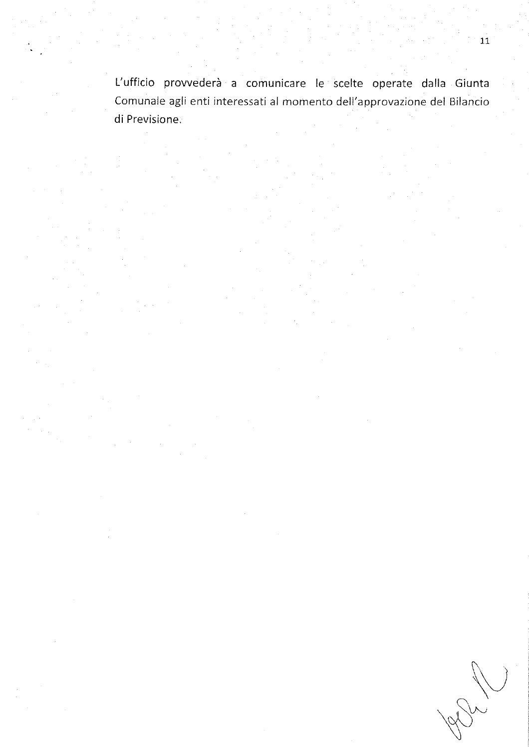L'ufficio provvederà a comunicare le scelte operate dalla Giunta Comunale agli enti interessati al momento dell'approvazione del Bilancio di Previsione.

RIVERSIDE